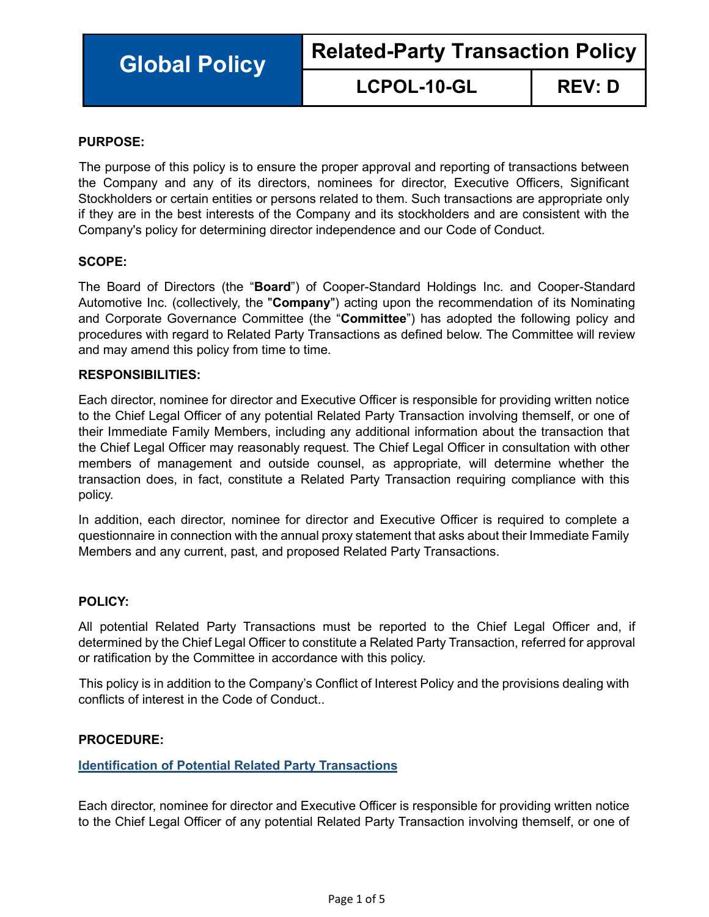**Global Policy Related-Party Transaction Policy**

**LCPOL-10-GL REV: D**

## **PURPOSE:**

The purpose of this policy is to ensure the proper approval and reporting of transactions between the Company and any of its directors, nominees for director, Executive Officers, Significant Stockholders or certain entities or persons related to them. Such transactions are appropriate only if they are in the best interests of the Company and its stockholders and are consistent with the Company's policy for determining director independence and our Code of Conduct.

## **SCOPE:**

The Board of Directors (the "**Board**") of Cooper-Standard Holdings Inc. and Cooper-Standard Automotive Inc. (collectively, the "**Company**") acting upon the recommendation of its Nominating and Corporate Governance Committee (the "**Committee**") has adopted the following policy and procedures with regard to Related Party Transactions as defined below. The Committee will review and may amend this policy from time to time.

#### **RESPONSIBILITIES:**

Each director, nominee for director and Executive Officer is responsible for providing written notice to the Chief Legal Officer of any potential Related Party Transaction involving themself, or one of their Immediate Family Members, including any additional information about the transaction that the Chief Legal Officer may reasonably request. The Chief Legal Officer in consultation with other members of management and outside counsel, as appropriate, will determine whether the transaction does, in fact, constitute a Related Party Transaction requiring compliance with this policy.

In addition, each director, nominee for director and Executive Officer is required to complete a questionnaire in connection with the annual proxy statement that asks about their Immediate Family Members and any current, past, and proposed Related Party Transactions.

#### **POLICY:**

All potential Related Party Transactions must be reported to the Chief Legal Officer and, if determined by the Chief Legal Officer to constitute a Related Party Transaction, referred for approval or ratification by the Committee in accordance with this policy.

This policy is in addition to the Company's Conflict of Interest Policy and the provisions dealing with conflicts of interest in the Code of Conduct..

# **PROCEDURE:**

# **Identification of Potential Related Party Transactions**

Each director, nominee for director and Executive Officer is responsible for providing written notice to the Chief Legal Officer of any potential Related Party Transaction involving themself, or one of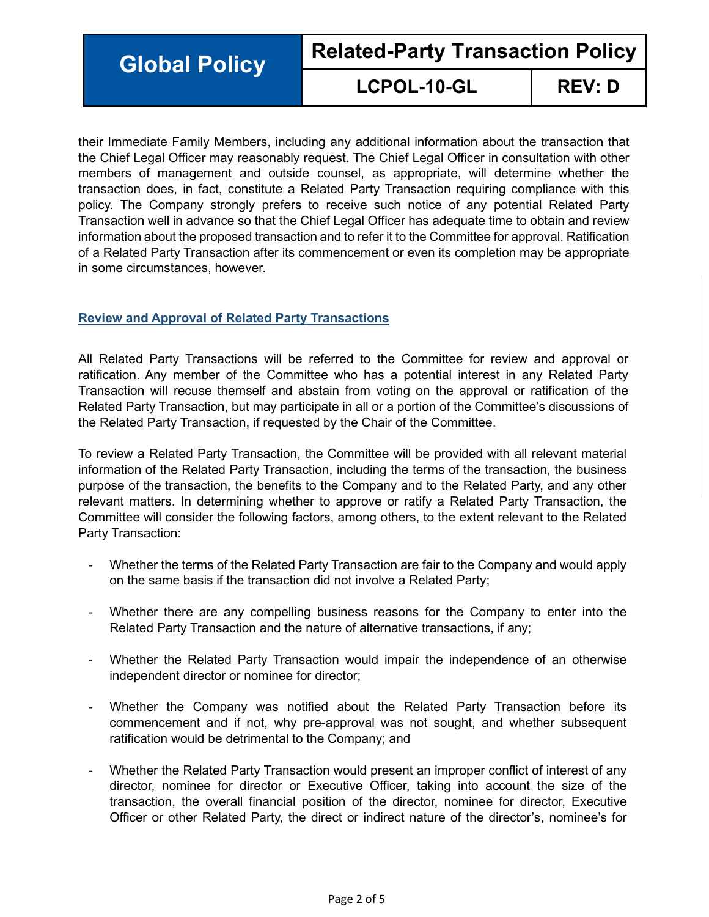**Global Policy Related-Party Transaction Policy**

# **LCPOL-10-GL REV: D**

their Immediate Family Members, including any additional information about the transaction that the Chief Legal Officer may reasonably request. The Chief Legal Officer in consultation with other members of management and outside counsel, as appropriate, will determine whether the transaction does, in fact, constitute a Related Party Transaction requiring compliance with this policy. The Company strongly prefers to receive such notice of any potential Related Party Transaction well in advance so that the Chief Legal Officer has adequate time to obtain and review information about the proposed transaction and to refer it to the Committee for approval. Ratification of a Related Party Transaction after its commencement or even its completion may be appropriate in some circumstances, however.

# **Review and Approval of Related Party Transactions**

All Related Party Transactions will be referred to the Committee for review and approval or ratification. Any member of the Committee who has a potential interest in any Related Party Transaction will recuse themself and abstain from voting on the approval or ratification of the Related Party Transaction, but may participate in all or a portion of the Committee's discussions of the Related Party Transaction, if requested by the Chair of the Committee.

To review a Related Party Transaction, the Committee will be provided with all relevant material information of the Related Party Transaction, including the terms of the transaction, the business purpose of the transaction, the benefits to the Company and to the Related Party, and any other relevant matters. In determining whether to approve or ratify a Related Party Transaction, the Committee will consider the following factors, among others, to the extent relevant to the Related Party Transaction:

- Whether the terms of the Related Party Transaction are fair to the Company and would apply on the same basis if the transaction did not involve a Related Party;
- Whether there are any compelling business reasons for the Company to enter into the Related Party Transaction and the nature of alternative transactions, if any;
- Whether the Related Party Transaction would impair the independence of an otherwise independent director or nominee for director;
- Whether the Company was notified about the Related Party Transaction before its commencement and if not, why pre-approval was not sought, and whether subsequent ratification would be detrimental to the Company; and
- Whether the Related Party Transaction would present an improper conflict of interest of any director, nominee for director or Executive Officer, taking into account the size of the transaction, the overall financial position of the director, nominee for director, Executive Officer or other Related Party, the direct or indirect nature of the director's, nominee's for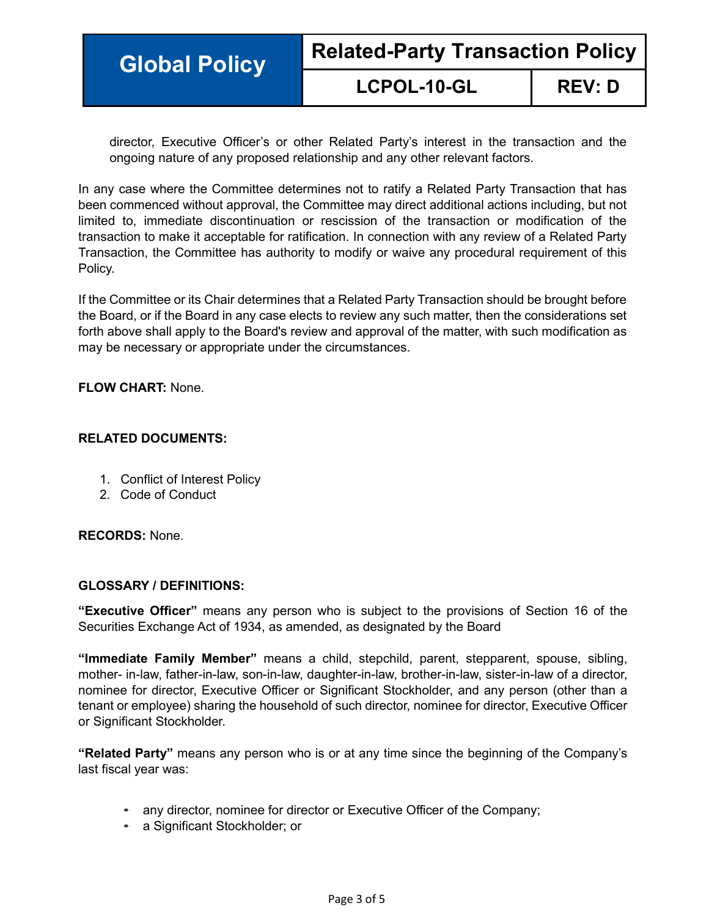| <b>Global Policy</b> | <b>Related-Party Transaction Policy</b> |               |
|----------------------|-----------------------------------------|---------------|
|                      | <b>LCPOL-10-GL</b>                      | <b>REV: D</b> |

director, Executive Officer's or other Related Party's interest in the transaction and the ongoing nature of any proposed relationship and any other relevant factors.

In any case where the Committee determines not to ratify a Related Party Transaction that has been commenced without approval, the Committee may direct additional actions including, but not limited to, immediate discontinuation or rescission of the transaction or modification of the transaction to make it acceptable for ratification. In connection with any review of a Related Party Transaction, the Committee has authority to modify or waive any procedural requirement of this Policy.

If the Committee or its Chair determines that a Related Party Transaction should be brought before the Board, or if the Board in any case elects to review any such matter, then the considerations set forth above shall apply to the Board's review and approval of the matter, with such modification as may be necessary or appropriate under the circumstances.

## **FLOW CHART:** None.

# **RELATED DOCUMENTS:**

- 1. Conflict of Interest Policy
- 2. Code of Conduct

#### **RECORDS:** None.

#### **GLOSSARY / DEFINITIONS:**

**"Executive Officer"** means any person who is subject to the provisions of Section 16 of the Securities Exchange Act of 1934, as amended, as designated by the Board

**"Immediate Family Member"** means a child, stepchild, parent, stepparent, spouse, sibling, mother- in-law, father-in-law, son-in-law, daughter-in-law, brother-in-law, sister-in-law of a director, nominee for director, Executive Officer or Significant Stockholder, and any person (other than a tenant or employee) sharing the household of such director, nominee for director, Executive Officer or Significant Stockholder.

**"Related Party"** means any person who is or at any time since the beginning of the Company's last fiscal year was:

- any director, nominee for director or Executive Officer of the Company;
- a Significant Stockholder; or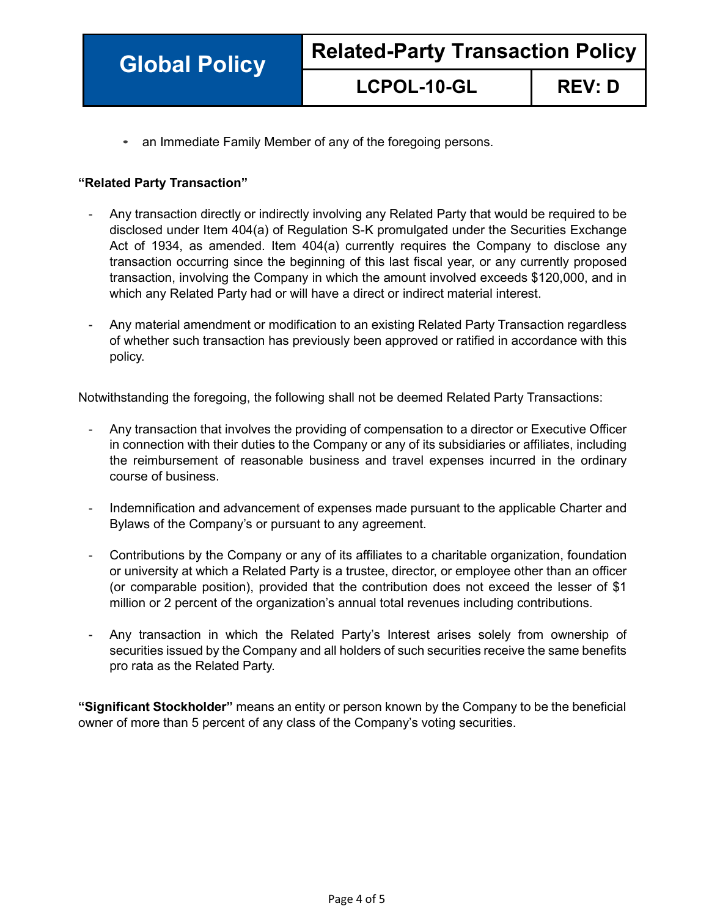# **LCPOL-10-GL REV: D**

• an Immediate Family Member of any of the foregoing persons.

# **"Related Party Transaction"**

- Any transaction directly or indirectly involving any Related Party that would be required to be disclosed under Item 404(a) of Regulation S-K promulgated under the Securities Exchange Act of 1934, as amended. Item 404(a) currently requires the Company to disclose any transaction occurring since the beginning of this last fiscal year, or any currently proposed transaction, involving the Company in which the amount involved exceeds \$120,000, and in which any Related Party had or will have a direct or indirect material interest.
- Any material amendment or modification to an existing Related Party Transaction regardless of whether such transaction has previously been approved or ratified in accordance with this policy.

Notwithstanding the foregoing, the following shall not be deemed Related Party Transactions:

- Any transaction that involves the providing of compensation to a director or Executive Officer in connection with their duties to the Company or any of its subsidiaries or affiliates, including the reimbursement of reasonable business and travel expenses incurred in the ordinary course of business.
- Indemnification and advancement of expenses made pursuant to the applicable Charter and Bylaws of the Company's or pursuant to any agreement.
- Contributions by the Company or any of its affiliates to a charitable organization, foundation or university at which a Related Party is a trustee, director, or employee other than an officer (or comparable position), provided that the contribution does not exceed the lesser of \$1 million or 2 percent of the organization's annual total revenues including contributions.
- Any transaction in which the Related Party's Interest arises solely from ownership of securities issued by the Company and all holders of such securities receive the same benefits pro rata as the Related Party.

**"Significant Stockholder"** means an entity or person known by the Company to be the beneficial owner of more than 5 percent of any class of the Company's voting securities.